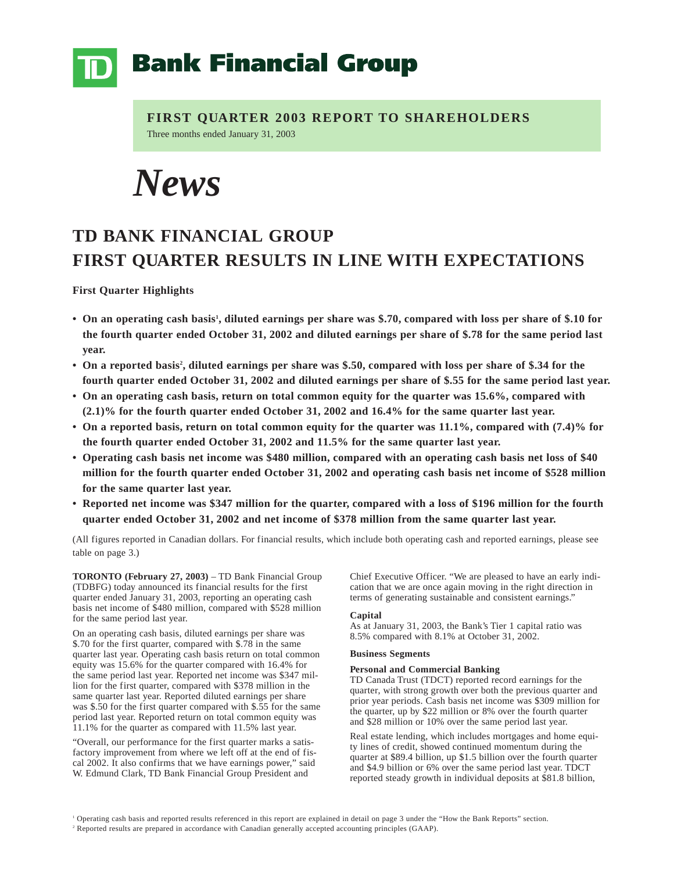## **Bank Financial Group**

**FIRST QUARTER 2003 REPORT TO SHAREHOLDERS** Three months ended January 31, 2003

*News*

## **TD BANK FINANCIAL GROUP FIRST QUARTER RESULTS IN LINE WITH EXPECTATIONS**

**First Quarter Highlights**

- On an operating cash basis<sup>1</sup>, diluted earnings per share was \$.70, compared with loss per share of \$.10 for **the fourth quarter ended October 31, 2002 and diluted earnings per share of \$.78 for the same period last year.**
- On a reported basis<sup>2</sup>, diluted earnings per share was \$.50, compared with loss per share of \$.34 for the **fourth quarter ended October 31, 2002 and diluted earnings per share of \$.55 for the same period last year.**
- **On an operating cash basis, return on total common equity for the quarter was 15.6%, compared with (2.1)% for the fourth quarter ended October 31, 2002 and 16.4% for the same quarter last year.**
- **On a reported basis, return on total common equity for the quarter was 11.1%, compared with (7.4)% for the fourth quarter ended October 31, 2002 and 11.5% for the same quarter last year.**
- **Operating cash basis net income was \$480 million, compared with an operating cash basis net loss of \$40 million for the fourth quarter ended October 31, 2002 and operating cash basis net income of \$528 million for the same quarter last year.**
- **Reported net income was \$347 million for the quarter, compared with a loss of \$196 million for the fourth quarter ended October 31, 2002 and net income of \$378 million from the same quarter last year.**

(All figures reported in Canadian dollars. For financial results, which include both operating cash and reported earnings, please see table on page 3.)

**TORONTO (February 27, 2003)** – TD Bank Financial Group (TDBFG) today announced its financial results for the first quarter ended January 31, 2003, reporting an operating cash basis net income of \$480 million, compared with \$528 million for the same period last year.

On an operating cash basis, diluted earnings per share was \$.70 for the first quarter, compared with \$.78 in the same quarter last year. Operating cash basis return on total common equity was 15.6% for the quarter compared with 16.4% for the same period last year. Reported net income was \$347 million for the first quarter, compared with \$378 million in the same quarter last year. Reported diluted earnings per share was \$.50 for the first quarter compared with \$.55 for the same period last year. Reported return on total common equity was 11.1% for the quarter as compared with 11.5% last year.

"Overall, our performance for the first quarter marks a satisfactory improvement from where we left off at the end of fiscal 2002. It also confirms that we have earnings power," said W. Edmund Clark, TD Bank Financial Group President and

Chief Executive Officer. "We are pleased to have an early indication that we are once again moving in the right direction in terms of generating sustainable and consistent earnings."

## **Capital**

As at January 31, 2003, the Bank's Tier 1 capital ratio was 8.5% compared with 8.1% at October 31, 2002.

## **Business Segments**

## **Personal and Commercial Banking**

TD Canada Trust (TDCT) reported record earnings for the quarter, with strong growth over both the previous quarter and prior year periods. Cash basis net income was \$309 million for the quarter, up by \$22 million or 8% over the fourth quarter and \$28 million or 10% over the same period last year.

Real estate lending, which includes mortgages and home equity lines of credit, showed continued momentum during the quarter at \$89.4 billion, up \$1.5 billion over the fourth quarter and \$4.9 billion or 6% over the same period last year. TDCT reported steady growth in individual deposits at \$81.8 billion,

<sup>1</sup> Operating cash basis and reported results referenced in this report are explained in detail on page 3 under the "How the Bank Reports" section.

<sup>2</sup> Reported results are prepared in accordance with Canadian generally accepted accounting principles (GAAP).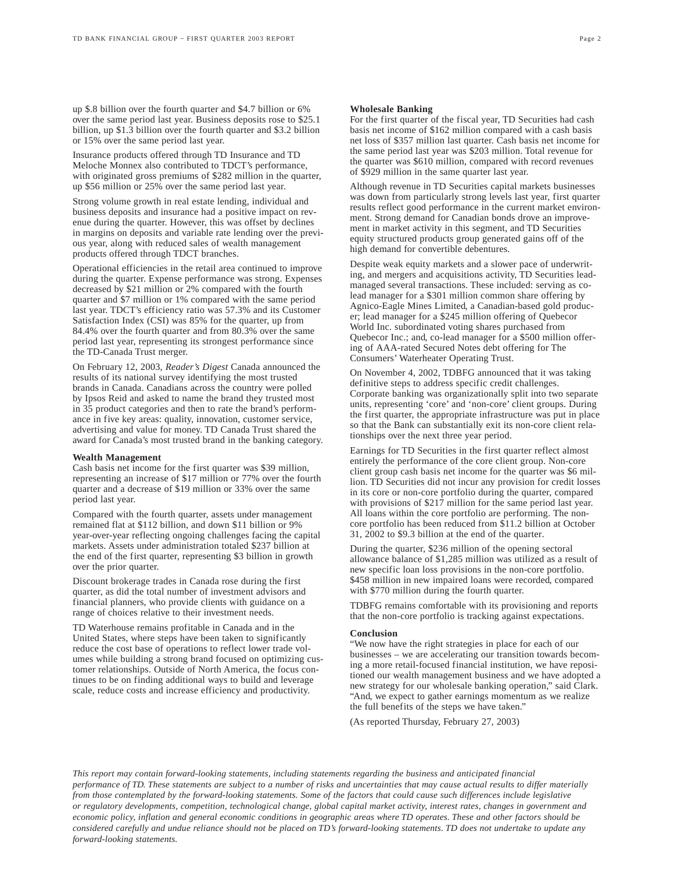up \$.8 billion over the fourth quarter and \$4.7 billion or 6% over the same period last year. Business deposits rose to \$25.1 billion, up \$1.3 billion over the fourth quarter and \$3.2 billion or 15% over the same period last year.

Insurance products offered through TD Insurance and TD Meloche Monnex also contributed to TDCT's performance, with originated gross premiums of \$282 million in the quarter, up \$56 million or 25% over the same period last year.

Strong volume growth in real estate lending, individual and business deposits and insurance had a positive impact on revenue during the quarter. However, this was offset by declines in margins on deposits and variable rate lending over the previous year, along with reduced sales of wealth management products offered through TDCT branches.

Operational efficiencies in the retail area continued to improve during the quarter. Expense performance was strong. Expenses decreased by \$21 million or 2% compared with the fourth quarter and \$7 million or 1% compared with the same period last year. TDCT's efficiency ratio was 57.3% and its Customer Satisfaction Index (CSI) was 85% for the quarter, up from 84.4% over the fourth quarter and from 80.3% over the same period last year, representing its strongest performance since the TD-Canada Trust merger.

On February 12, 2003, *Reader's Digest* Canada announced the results of its national survey identifying the most trusted brands in Canada. Canadians across the country were polled by Ipsos Reid and asked to name the brand they trusted most in 35 product categories and then to rate the brand's performance in five key areas: quality, innovation, customer service, advertising and value for money. TD Canada Trust shared the award for Canada's most trusted brand in the banking category.

#### **Wealth Management**

Cash basis net income for the first quarter was \$39 million, representing an increase of \$17 million or 77% over the fourth quarter and a decrease of \$19 million or 33% over the same period last year.

Compared with the fourth quarter, assets under management remained flat at \$112 billion, and down \$11 billion or 9% year-over-year reflecting ongoing challenges facing the capital markets. Assets under administration totaled \$237 billion at the end of the first quarter, representing \$3 billion in growth over the prior quarter.

Discount brokerage trades in Canada rose during the first quarter, as did the total number of investment advisors and financial planners, who provide clients with guidance on a range of choices relative to their investment needs.

TD Waterhouse remains profitable in Canada and in the United States, where steps have been taken to significantly reduce the cost base of operations to reflect lower trade volumes while building a strong brand focused on optimizing customer relationships. Outside of North America, the focus continues to be on finding additional ways to build and leverage scale, reduce costs and increase efficiency and productivity.

#### **Wholesale Banking**

For the first quarter of the fiscal year, TD Securities had cash basis net income of \$162 million compared with a cash basis net loss of \$357 million last quarter. Cash basis net income for the same period last year was \$203 million. Total revenue for the quarter was \$610 million, compared with record revenues of \$929 million in the same quarter last year.

Although revenue in TD Securities capital markets businesses was down from particularly strong levels last year, first quarter results reflect good performance in the current market environment. Strong demand for Canadian bonds drove an improvement in market activity in this segment, and TD Securities equity structured products group generated gains off of the high demand for convertible debentures.

Despite weak equity markets and a slower pace of underwriting, and mergers and acquisitions activity, TD Securities leadmanaged several transactions. These included: serving as colead manager for a \$301 million common share offering by Agnico-Eagle Mines Limited, a Canadian-based gold producer; lead manager for a \$245 million offering of Quebecor World Inc. subordinated voting shares purchased from Quebecor Inc.; and, co-lead manager for a \$500 million offering of AAA-rated Secured Notes debt offering for The Consumers' Waterheater Operating Trust.

On November 4, 2002, TDBFG announced that it was taking definitive steps to address specific credit challenges. Corporate banking was organizationally split into two separate units, representing 'core' and 'non-core' client groups. During the first quarter, the appropriate infrastructure was put in place so that the Bank can substantially exit its non-core client relationships over the next three year period.

Earnings for TD Securities in the first quarter reflect almost entirely the performance of the core client group. Non-core client group cash basis net income for the quarter was \$6 million. TD Securities did not incur any provision for credit losses in its core or non-core portfolio during the quarter, compared with provisions of \$217 million for the same period last year. All loans within the core portfolio are performing. The noncore portfolio has been reduced from \$11.2 billion at October 31, 2002 to \$9.3 billion at the end of the quarter.

During the quarter, \$236 million of the opening sectoral allowance balance of \$1,285 million was utilized as a result of new specific loan loss provisions in the non-core portfolio. \$458 million in new impaired loans were recorded, compared with \$770 million during the fourth quarter.

TDBFG remains comfortable with its provisioning and reports that the non-core portfolio is tracking against expectations.

## **Conclusion**

"We now have the right strategies in place for each of our businesses – we are accelerating our transition towards becoming a more retail-focused financial institution, we have repositioned our wealth management business and we have adopted a new strategy for our wholesale banking operation," said Clark. "And, we expect to gather earnings momentum as we realize the full benefits of the steps we have taken."

(As reported Thursday, February 27, 2003)

*This report may contain forward-looking statements, including statements regarding the business and anticipated financial performance of TD. These statements are subject to a number of risks and uncertainties that may cause actual results to differ materially from those contemplated by the forward-looking statements. Some of the factors that could cause such differences include legislative or regulatory developments, competition, technological change, global capital market activity, interest rates, changes in government and economic policy, inflation and general economic conditions in geographic areas where TD operates. These and other factors should be considered carefully and undue reliance should not be placed on TD's forward-looking statements. TD does not undertake to update any forward-looking statements.*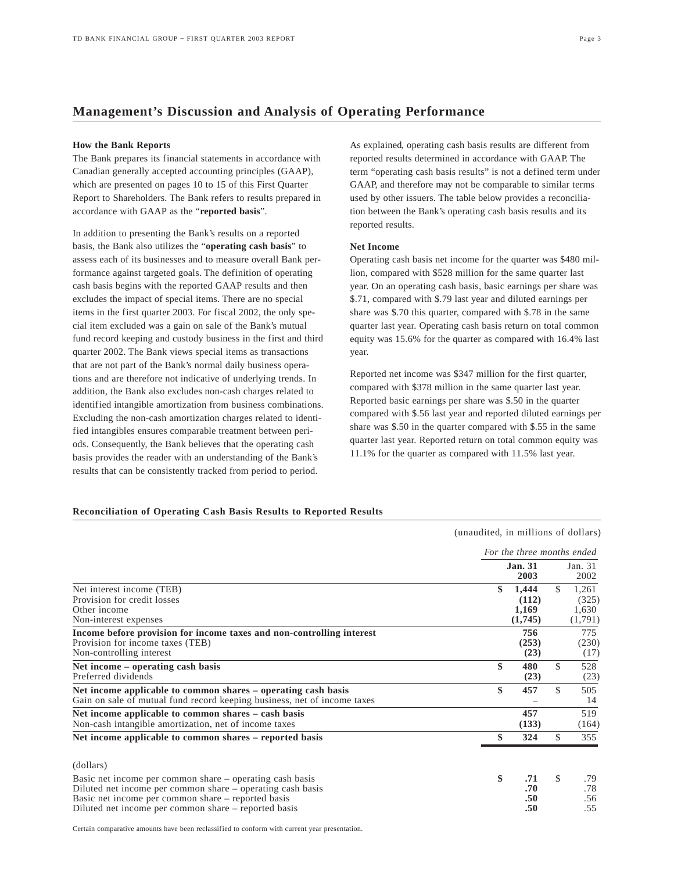## **Management's Discussion and Analysis of Operating Performance**

## **How the Bank Reports**

The Bank prepares its financial statements in accordance with Canadian generally accepted accounting principles (GAAP), which are presented on pages 10 to 15 of this First Quarter Report to Shareholders. The Bank refers to results prepared in accordance with GAAP as the "**reported basis**".

In addition to presenting the Bank's results on a reported basis, the Bank also utilizes the "**operating cash basis**" to assess each of its businesses and to measure overall Bank performance against targeted goals. The definition of operating cash basis begins with the reported GAAP results and then excludes the impact of special items. There are no special items in the first quarter 2003. For fiscal 2002, the only special item excluded was a gain on sale of the Bank's mutual fund record keeping and custody business in the first and third quarter 2002. The Bank views special items as transactions that are not part of the Bank's normal daily business operations and are therefore not indicative of underlying trends. In addition, the Bank also excludes non-cash charges related to identified intangible amortization from business combinations. Excluding the non-cash amortization charges related to identified intangibles ensures comparable treatment between periods. Consequently, the Bank believes that the operating cash basis provides the reader with an understanding of the Bank's results that can be consistently tracked from period to period.

As explained, operating cash basis results are different from reported results determined in accordance with GAAP. The term "operating cash basis results" is not a defined term under GAAP, and therefore may not be comparable to similar terms used by other issuers. The table below provides a reconciliation between the Bank's operating cash basis results and its reported results.

## **Net Income**

Operating cash basis net income for the quarter was \$480 million, compared with \$528 million for the same quarter last year. On an operating cash basis, basic earnings per share was \$.71, compared with \$.79 last year and diluted earnings per share was \$.70 this quarter, compared with \$.78 in the same quarter last year. Operating cash basis return on total common equity was 15.6% for the quarter as compared with 16.4% last year.

Reported net income was \$347 million for the first quarter, compared with \$378 million in the same quarter last year. Reported basic earnings per share was \$.50 in the quarter compared with \$.56 last year and reported diluted earnings per share was \$.50 in the quarter compared with \$.55 in the same quarter last year. Reported return on total common equity was 11.1% for the quarter as compared with 11.5% last year.

## **Reconciliation of Operating Cash Basis Results to Reported Results**

|                                                                                                                                                                                                                                      | (unaudited, in millions of dollars) |                                    |     |                                    |  |  |  |  |
|--------------------------------------------------------------------------------------------------------------------------------------------------------------------------------------------------------------------------------------|-------------------------------------|------------------------------------|-----|------------------------------------|--|--|--|--|
|                                                                                                                                                                                                                                      |                                     | For the three months ended         |     |                                    |  |  |  |  |
|                                                                                                                                                                                                                                      |                                     | <b>Jan. 31</b><br>2003             |     | Jan. 31<br>2002                    |  |  |  |  |
| Net interest income (TEB)<br>Provision for credit losses<br>Other income<br>Non-interest expenses                                                                                                                                    | \$                                  | 1,444<br>(112)<br>1,169<br>(1,745) | \$. | 1,261<br>(325)<br>1,630<br>(1,791) |  |  |  |  |
| Income before provision for income taxes and non-controlling interest<br>Provision for income taxes (TEB)<br>Non-controlling interest                                                                                                |                                     | 756<br>(253)<br>(23)               |     | 775<br>(230)<br>(17)               |  |  |  |  |
| Net income – operating cash basis<br>Preferred dividends                                                                                                                                                                             | \$                                  | 480<br>(23)                        | \$  | 528<br>(23)                        |  |  |  |  |
| Net income applicable to common shares - operating cash basis<br>Gain on sale of mutual fund record keeping business, net of income taxes                                                                                            | \$                                  | 457                                | \$  | 505<br>14                          |  |  |  |  |
| Net income applicable to common shares - cash basis<br>Non-cash intangible amortization, net of income taxes                                                                                                                         |                                     | 457<br>(133)                       |     | 519<br>(164)                       |  |  |  |  |
| Net income applicable to common shares – reported basis                                                                                                                                                                              | \$                                  | 324                                | \$. | 355                                |  |  |  |  |
| (dollars)                                                                                                                                                                                                                            |                                     |                                    |     |                                    |  |  |  |  |
| Basic net income per common share – operating cash basis<br>Diluted net income per common share – operating cash basis<br>Basic net income per common share – reported basis<br>Diluted net income per common share – reported basis | \$                                  | .71<br>.70<br>.50<br>.50           | \$  | .79<br>.78<br>.56<br>.55           |  |  |  |  |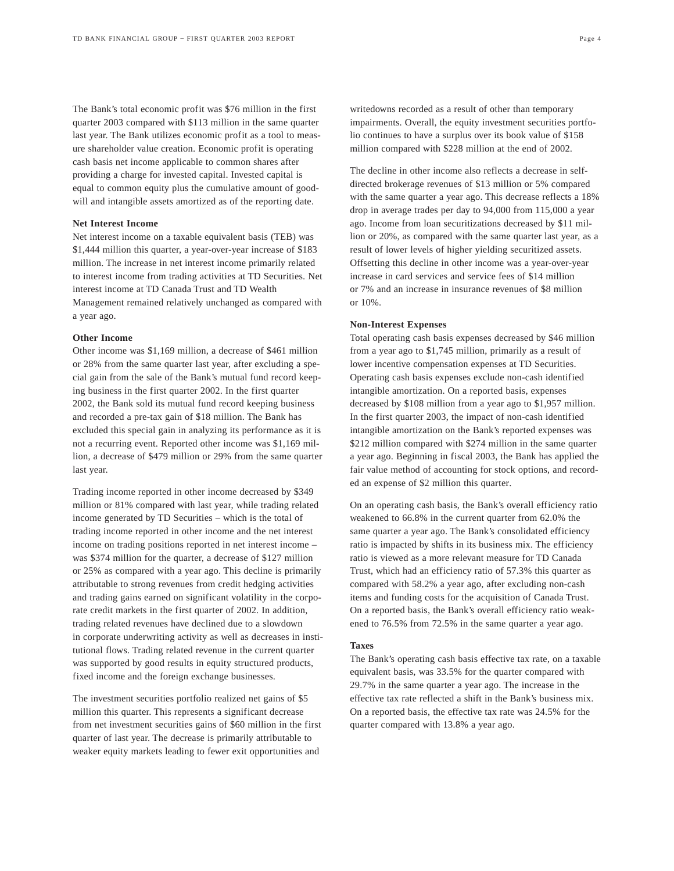The Bank's total economic profit was \$76 million in the first quarter 2003 compared with \$113 million in the same quarter last year. The Bank utilizes economic profit as a tool to measure shareholder value creation. Economic profit is operating cash basis net income applicable to common shares after providing a charge for invested capital. Invested capital is equal to common equity plus the cumulative amount of goodwill and intangible assets amortized as of the reporting date.

## **Net Interest Income**

Net interest income on a taxable equivalent basis (TEB) was \$1,444 million this quarter, a year-over-year increase of \$183 million. The increase in net interest income primarily related to interest income from trading activities at TD Securities. Net interest income at TD Canada Trust and TD Wealth Management remained relatively unchanged as compared with a year ago.

## **Other Income**

Other income was \$1,169 million, a decrease of \$461 million or 28% from the same quarter last year, after excluding a special gain from the sale of the Bank's mutual fund record keeping business in the first quarter 2002. In the first quarter 2002, the Bank sold its mutual fund record keeping business and recorded a pre-tax gain of \$18 million. The Bank has excluded this special gain in analyzing its performance as it is not a recurring event. Reported other income was \$1,169 million, a decrease of \$479 million or 29% from the same quarter last year.

Trading income reported in other income decreased by \$349 million or 81% compared with last year, while trading related income generated by TD Securities – which is the total of trading income reported in other income and the net interest income on trading positions reported in net interest income – was \$374 million for the quarter, a decrease of \$127 million or 25% as compared with a year ago. This decline is primarily attributable to strong revenues from credit hedging activities and trading gains earned on significant volatility in the corporate credit markets in the first quarter of 2002. In addition, trading related revenues have declined due to a slowdown in corporate underwriting activity as well as decreases in institutional flows. Trading related revenue in the current quarter was supported by good results in equity structured products, fixed income and the foreign exchange businesses.

The investment securities portfolio realized net gains of \$5 million this quarter. This represents a significant decrease from net investment securities gains of \$60 million in the first quarter of last year. The decrease is primarily attributable to weaker equity markets leading to fewer exit opportunities and

writedowns recorded as a result of other than temporary impairments. Overall, the equity investment securities portfolio continues to have a surplus over its book value of \$158 million compared with \$228 million at the end of 2002.

The decline in other income also reflects a decrease in selfdirected brokerage revenues of \$13 million or 5% compared with the same quarter a year ago. This decrease reflects a 18% drop in average trades per day to 94,000 from 115,000 a year ago. Income from loan securitizations decreased by \$11 million or 20%, as compared with the same quarter last year, as a result of lower levels of higher yielding securitized assets. Offsetting this decline in other income was a year-over-year increase in card services and service fees of \$14 million or 7% and an increase in insurance revenues of \$8 million or 10%.

#### **Non-Interest Expenses**

Total operating cash basis expenses decreased by \$46 million from a year ago to \$1,745 million, primarily as a result of lower incentive compensation expenses at TD Securities. Operating cash basis expenses exclude non-cash identified intangible amortization. On a reported basis, expenses decreased by \$108 million from a year ago to \$1,957 million. In the first quarter 2003, the impact of non-cash identified intangible amortization on the Bank's reported expenses was \$212 million compared with \$274 million in the same quarter a year ago. Beginning in fiscal 2003, the Bank has applied the fair value method of accounting for stock options, and recorded an expense of \$2 million this quarter.

On an operating cash basis, the Bank's overall efficiency ratio weakened to 66.8% in the current quarter from 62.0% the same quarter a year ago. The Bank's consolidated efficiency ratio is impacted by shifts in its business mix. The efficiency ratio is viewed as a more relevant measure for TD Canada Trust, which had an efficiency ratio of 57.3% this quarter as compared with 58.2% a year ago, after excluding non-cash items and funding costs for the acquisition of Canada Trust. On a reported basis, the Bank's overall efficiency ratio weakened to 76.5% from 72.5% in the same quarter a year ago.

## **Taxes**

The Bank's operating cash basis effective tax rate, on a taxable equivalent basis, was 33.5% for the quarter compared with 29.7% in the same quarter a year ago. The increase in the effective tax rate reflected a shift in the Bank's business mix. On a reported basis, the effective tax rate was 24.5% for the quarter compared with 13.8% a year ago.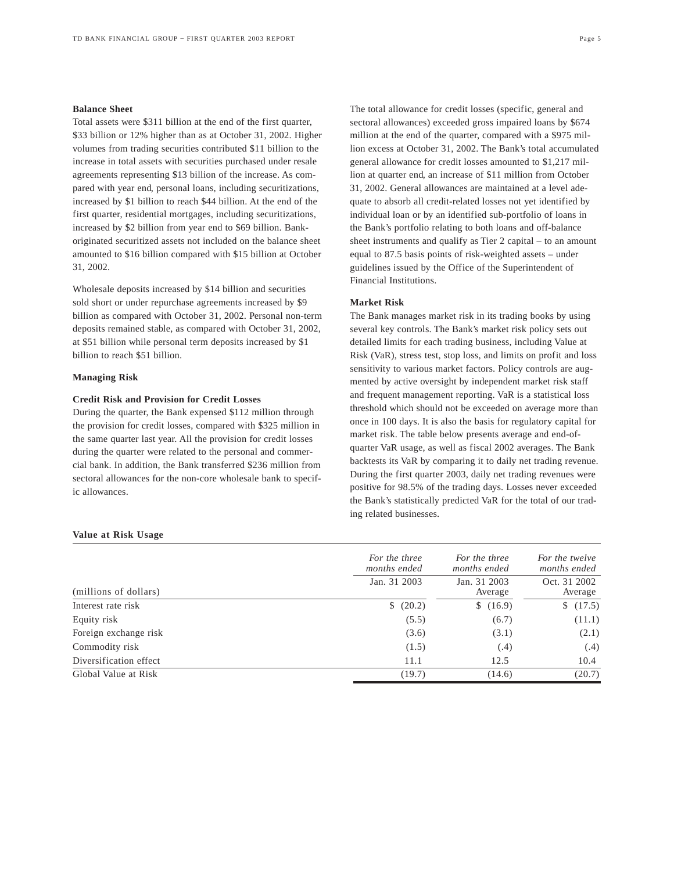## **Balance Sheet**

Total assets were \$311 billion at the end of the first quarter, \$33 billion or 12% higher than as at October 31, 2002. Higher volumes from trading securities contributed \$11 billion to the increase in total assets with securities purchased under resale agreements representing \$13 billion of the increase. As compared with year end, personal loans, including securitizations, increased by \$1 billion to reach \$44 billion. At the end of the first quarter, residential mortgages, including securitizations, increased by \$2 billion from year end to \$69 billion. Bankoriginated securitized assets not included on the balance sheet amounted to \$16 billion compared with \$15 billion at October 31, 2002.

Wholesale deposits increased by \$14 billion and securities sold short or under repurchase agreements increased by \$9 billion as compared with October 31, 2002. Personal non-term deposits remained stable, as compared with October 31, 2002, at \$51 billion while personal term deposits increased by \$1 billion to reach \$51 billion.

## **Managing Risk**

## **Credit Risk and Provision for Credit Losses**

During the quarter, the Bank expensed \$112 million through the provision for credit losses, compared with \$325 million in the same quarter last year. All the provision for credit losses during the quarter were related to the personal and commercial bank. In addition, the Bank transferred \$236 million from sectoral allowances for the non-core wholesale bank to specific allowances.

# The total allowance for credit losses (specific, general and

sectoral allowances) exceeded gross impaired loans by \$674 million at the end of the quarter, compared with a \$975 million excess at October 31, 2002. The Bank's total accumulated general allowance for credit losses amounted to \$1,217 million at quarter end, an increase of \$11 million from October 31, 2002. General allowances are maintained at a level adequate to absorb all credit-related losses not yet identified by individual loan or by an identified sub-portfolio of loans in the Bank's portfolio relating to both loans and off-balance sheet instruments and qualify as Tier 2 capital – to an amount equal to 87.5 basis points of risk-weighted assets – under guidelines issued by the Office of the Superintendent of Financial Institutions.

## **Market Risk**

The Bank manages market risk in its trading books by using several key controls. The Bank's market risk policy sets out detailed limits for each trading business, including Value at Risk (VaR), stress test, stop loss, and limits on profit and loss sensitivity to various market factors. Policy controls are augmented by active oversight by independent market risk staff and frequent management reporting. VaR is a statistical loss threshold which should not be exceeded on average more than once in 100 days. It is also the basis for regulatory capital for market risk. The table below presents average and end-ofquarter VaR usage, as well as fiscal 2002 averages. The Bank backtests its VaR by comparing it to daily net trading revenue. During the first quarter 2003, daily net trading revenues were positive for 98.5% of the trading days. Losses never exceeded the Bank's statistically predicted VaR for the total of our trading related businesses.

## **Value at Risk Usage**

|                        | For the three<br>months ended | For the three<br>months ended | For the twelve<br>months ended |
|------------------------|-------------------------------|-------------------------------|--------------------------------|
| (millions of dollars)  | Jan. 31 2003                  | Jan. 31 2003<br>Average       | Oct. 31 2002<br>Average        |
| Interest rate risk     | (20.2)                        | \$(16.9)                      | \$(17.5)                       |
| Equity risk            | (5.5)                         | (6.7)                         | (11.1)                         |
| Foreign exchange risk  | (3.6)                         | (3.1)                         | (2.1)                          |
| Commodity risk         | (1.5)                         | (.4)                          | (.4)                           |
| Diversification effect | 11.1                          | 12.5                          | 10.4                           |
| Global Value at Risk   | (19.7)                        | (14.6)                        | (20.7)                         |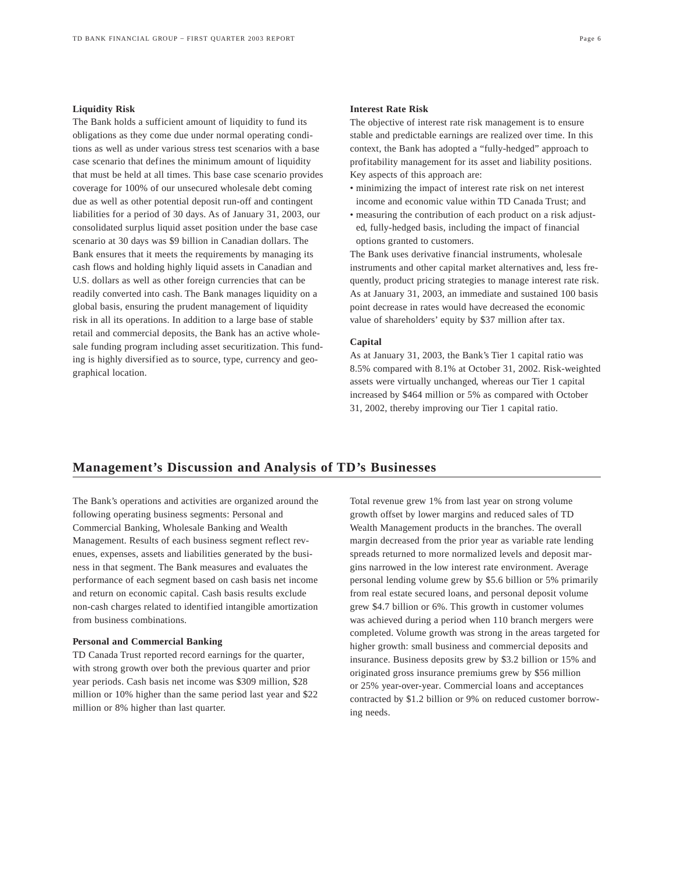## **Liquidity Risk**

The Bank holds a sufficient amount of liquidity to fund its obligations as they come due under normal operating conditions as well as under various stress test scenarios with a base case scenario that defines the minimum amount of liquidity that must be held at all times. This base case scenario provides coverage for 100% of our unsecured wholesale debt coming due as well as other potential deposit run-off and contingent liabilities for a period of 30 days. As of January 31, 2003, our consolidated surplus liquid asset position under the base case scenario at 30 days was \$9 billion in Canadian dollars. The Bank ensures that it meets the requirements by managing its cash flows and holding highly liquid assets in Canadian and U.S. dollars as well as other foreign currencies that can be readily converted into cash. The Bank manages liquidity on a global basis, ensuring the prudent management of liquidity risk in all its operations. In addition to a large base of stable retail and commercial deposits, the Bank has an active wholesale funding program including asset securitization. This funding is highly diversified as to source, type, currency and geographical location.

## **Interest Rate Risk**

The objective of interest rate risk management is to ensure stable and predictable earnings are realized over time. In this context, the Bank has adopted a "fully-hedged" approach to profitability management for its asset and liability positions. Key aspects of this approach are:

- minimizing the impact of interest rate risk on net interest income and economic value within TD Canada Trust; and
- measuring the contribution of each product on a risk adjusted, fully-hedged basis, including the impact of financial options granted to customers.

The Bank uses derivative financial instruments, wholesale instruments and other capital market alternatives and, less frequently, product pricing strategies to manage interest rate risk. As at January 31, 2003, an immediate and sustained 100 basis point decrease in rates would have decreased the economic value of shareholders' equity by \$37 million after tax.

## **Capital**

As at January 31, 2003, the Bank's Tier 1 capital ratio was 8.5% compared with 8.1% at October 31, 2002. Risk-weighted assets were virtually unchanged, whereas our Tier 1 capital increased by \$464 million or 5% as compared with October 31, 2002, thereby improving our Tier 1 capital ratio.

## **Management's Discussion and Analysis of TD's Businesses**

The Bank's operations and activities are organized around the following operating business segments: Personal and Commercial Banking, Wholesale Banking and Wealth Management. Results of each business segment reflect revenues, expenses, assets and liabilities generated by the business in that segment. The Bank measures and evaluates the performance of each segment based on cash basis net income and return on economic capital. Cash basis results exclude non-cash charges related to identified intangible amortization from business combinations.

## **Personal and Commercial Banking**

TD Canada Trust reported record earnings for the quarter, with strong growth over both the previous quarter and prior year periods. Cash basis net income was \$309 million, \$28 million or 10% higher than the same period last year and \$22 million or 8% higher than last quarter.

Total revenue grew 1% from last year on strong volume growth offset by lower margins and reduced sales of TD Wealth Management products in the branches. The overall margin decreased from the prior year as variable rate lending spreads returned to more normalized levels and deposit margins narrowed in the low interest rate environment. Average personal lending volume grew by \$5.6 billion or 5% primarily from real estate secured loans, and personal deposit volume grew \$4.7 billion or 6%. This growth in customer volumes was achieved during a period when 110 branch mergers were completed. Volume growth was strong in the areas targeted for higher growth: small business and commercial deposits and insurance. Business deposits grew by \$3.2 billion or 15% and originated gross insurance premiums grew by \$56 million or 25% year-over-year. Commercial loans and acceptances contracted by \$1.2 billion or 9% on reduced customer borrowing needs.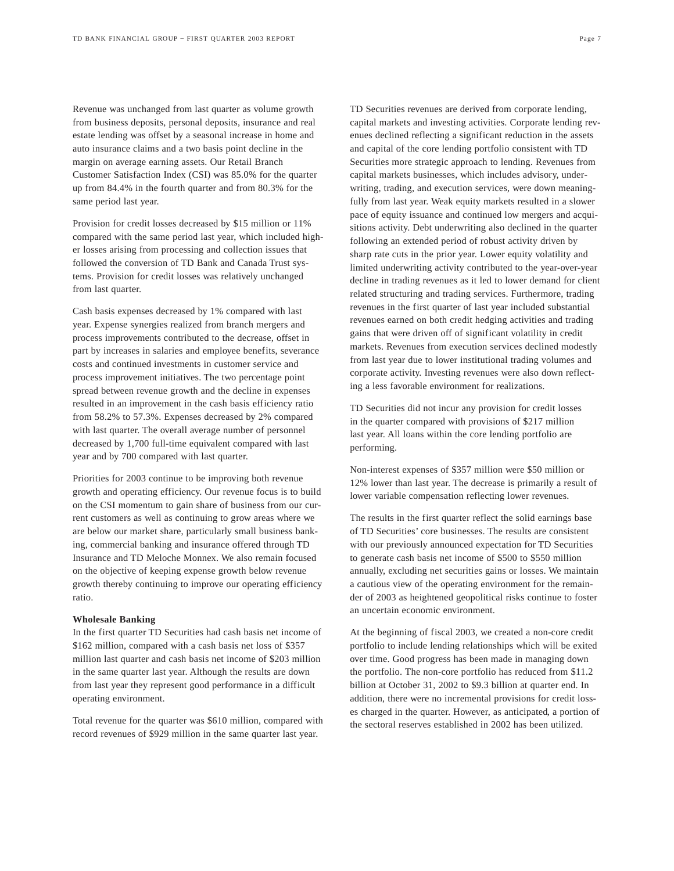Revenue was unchanged from last quarter as volume growth from business deposits, personal deposits, insurance and real estate lending was offset by a seasonal increase in home and auto insurance claims and a two basis point decline in the margin on average earning assets. Our Retail Branch Customer Satisfaction Index (CSI) was 85.0% for the quarter up from 84.4% in the fourth quarter and from 80.3% for the same period last year.

Provision for credit losses decreased by \$15 million or 11% compared with the same period last year, which included higher losses arising from processing and collection issues that followed the conversion of TD Bank and Canada Trust systems. Provision for credit losses was relatively unchanged from last quarter.

Cash basis expenses decreased by 1% compared with last year. Expense synergies realized from branch mergers and process improvements contributed to the decrease, offset in part by increases in salaries and employee benefits, severance costs and continued investments in customer service and process improvement initiatives. The two percentage point spread between revenue growth and the decline in expenses resulted in an improvement in the cash basis efficiency ratio from 58.2% to 57.3%. Expenses decreased by 2% compared with last quarter. The overall average number of personnel decreased by 1,700 full-time equivalent compared with last year and by 700 compared with last quarter.

Priorities for 2003 continue to be improving both revenue growth and operating efficiency. Our revenue focus is to build on the CSI momentum to gain share of business from our current customers as well as continuing to grow areas where we are below our market share, particularly small business banking, commercial banking and insurance offered through TD Insurance and TD Meloche Monnex. We also remain focused on the objective of keeping expense growth below revenue growth thereby continuing to improve our operating efficiency ratio.

#### **Wholesale Banking**

In the first quarter TD Securities had cash basis net income of \$162 million, compared with a cash basis net loss of \$357 million last quarter and cash basis net income of \$203 million in the same quarter last year. Although the results are down from last year they represent good performance in a difficult operating environment.

Total revenue for the quarter was \$610 million, compared with record revenues of \$929 million in the same quarter last year.

TD Securities revenues are derived from corporate lending, capital markets and investing activities. Corporate lending revenues declined reflecting a significant reduction in the assets and capital of the core lending portfolio consistent with TD Securities more strategic approach to lending. Revenues from capital markets businesses, which includes advisory, underwriting, trading, and execution services, were down meaningfully from last year. Weak equity markets resulted in a slower pace of equity issuance and continued low mergers and acquisitions activity. Debt underwriting also declined in the quarter following an extended period of robust activity driven by sharp rate cuts in the prior year. Lower equity volatility and limited underwriting activity contributed to the year-over-year decline in trading revenues as it led to lower demand for client related structuring and trading services. Furthermore, trading revenues in the first quarter of last year included substantial revenues earned on both credit hedging activities and trading gains that were driven off of significant volatility in credit markets. Revenues from execution services declined modestly from last year due to lower institutional trading volumes and corporate activity. Investing revenues were also down reflecting a less favorable environment for realizations.

TD Securities did not incur any provision for credit losses in the quarter compared with provisions of \$217 million last year. All loans within the core lending portfolio are performing.

Non-interest expenses of \$357 million were \$50 million or 12% lower than last year. The decrease is primarily a result of lower variable compensation reflecting lower revenues.

The results in the first quarter reflect the solid earnings base of TD Securities' core businesses. The results are consistent with our previously announced expectation for TD Securities to generate cash basis net income of \$500 to \$550 million annually, excluding net securities gains or losses. We maintain a cautious view of the operating environment for the remainder of 2003 as heightened geopolitical risks continue to foster an uncertain economic environment.

At the beginning of fiscal 2003, we created a non-core credit portfolio to include lending relationships which will be exited over time. Good progress has been made in managing down the portfolio. The non-core portfolio has reduced from \$11.2 billion at October 31, 2002 to \$9.3 billion at quarter end. In addition, there were no incremental provisions for credit losses charged in the quarter. However, as anticipated, a portion of the sectoral reserves established in 2002 has been utilized.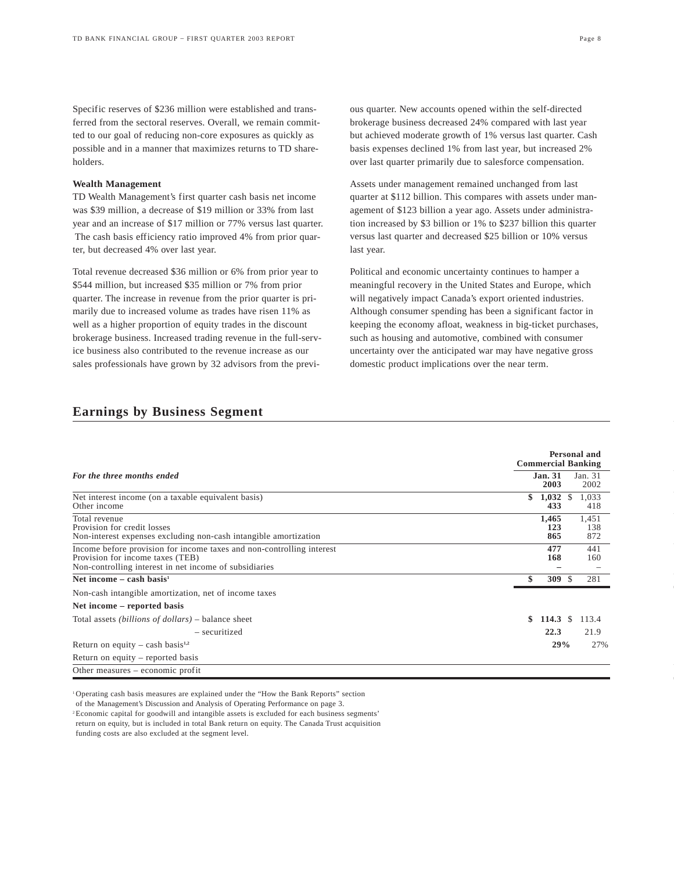Specific reserves of \$236 million were established and transferred from the sectoral reserves. Overall, we remain committed to our goal of reducing non-core exposures as quickly as possible and in a manner that maximizes returns to TD shareholders.

## **Wealth Management**

TD Wealth Management's first quarter cash basis net income was \$39 million, a decrease of \$19 million or 33% from last year and an increase of \$17 million or 77% versus last quarter. The cash basis efficiency ratio improved 4% from prior quarter, but decreased 4% over last year.

Total revenue decreased \$36 million or 6% from prior year to \$544 million, but increased \$35 million or 7% from prior quarter. The increase in revenue from the prior quarter is primarily due to increased volume as trades have risen 11% as well as a higher proportion of equity trades in the discount brokerage business. Increased trading revenue in the full-service business also contributed to the revenue increase as our sales professionals have grown by 32 advisors from the previ-

ous quarter. New accounts opened within the self-directed brokerage business decreased 24% compared with last year but achieved moderate growth of 1% versus last quarter. Cash basis expenses declined 1% from last year, but increased 2% over last quarter primarily due to salesforce compensation.

Assets under management remained unchanged from last quarter at \$112 billion. This compares with assets under management of \$123 billion a year ago. Assets under administration increased by \$3 billion or 1% to \$237 billion this quarter versus last quarter and decreased \$25 billion or 10% versus last year.

Political and economic uncertainty continues to hamper a meaningful recovery in the United States and Europe, which will negatively impact Canada's export oriented industries. Although consumer spending has been a significant factor in keeping the economy afloat, weakness in big-ticket purchases, such as housing and automotive, combined with consumer uncertainty over the anticipated war may have negative gross domestic product implications over the near term.

|                                                                                                                                                                     | Personal and<br><b>Commercial Banking</b>  |
|---------------------------------------------------------------------------------------------------------------------------------------------------------------------|--------------------------------------------|
| For the three months ended                                                                                                                                          | <b>Jan. 31</b><br>Jan. 31<br>2003<br>2002  |
| Net interest income (on a taxable equivalent basis)<br>Other income                                                                                                 | \$<br>1,033<br>1,032<br>S<br>433<br>418    |
| Total revenue<br>Provision for credit losses<br>Non-interest expenses excluding non-cash intangible amortization                                                    | 1,465<br>1,451<br>123<br>138<br>865<br>872 |
| Income before provision for income taxes and non-controlling interest<br>Provision for income taxes (TEB)<br>Non-controlling interest in net income of subsidiaries | 477<br>441<br>168<br>160                   |
| Net income $-$ cash basis <sup>1</sup>                                                                                                                              | \$<br>309S<br>281                          |
| Non-cash intangible amortization, net of income taxes                                                                                                               |                                            |
| Net income – reported basis                                                                                                                                         |                                            |
| Total assets <i>(billions of dollars)</i> – balance sheet                                                                                                           | \$<br>114.3 $\sqrt{ }$<br>113.4            |
| - securitized                                                                                                                                                       | 22.3<br>21.9                               |
| Return on equity – cash basis <sup>1,2</sup>                                                                                                                        | 29%<br>27%                                 |
| Return on equity – reported basis                                                                                                                                   |                                            |
| Other measures – economic profit                                                                                                                                    |                                            |

## **Earnings by Business Segment**

<sup>1</sup> Operating cash basis measures are explained under the "How the Bank Reports" section

of the Management's Discussion and Analysis of Operating Performance on page 3.

2 Economic capital for goodwill and intangible assets is excluded for each business segments'

return on equity, but is included in total Bank return on equity. The Canada Trust acquisition funding costs are also excluded at the segment level.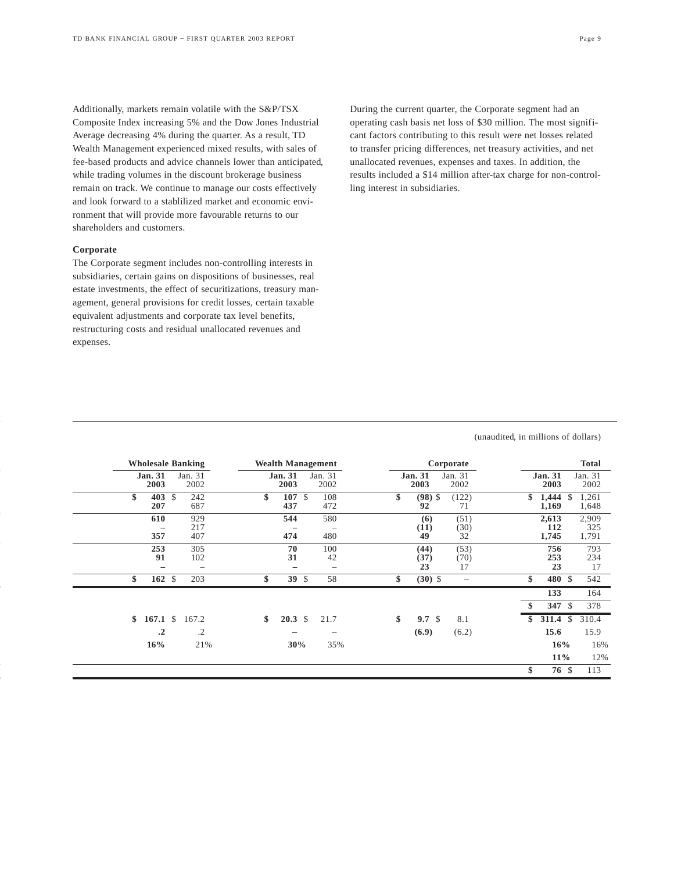Additionally, markets remain volatile with the S&P/TSX Composite Index increasing 5% and the Dow Jones Industrial Average decreasing 4% during the quarter. As a result, TD Wealth Management experienced mixed results, with sales of fee-based products and advice channels lower than anticipated, while trading volumes in the discount brokerage business remain on track. We continue to manage our costs effectively and look forward to a stablilized market and economic environment that will provide more favourable returns to our shareholders and customers.

## **Corporate**

The Corporate segment includes non-controlling interests in subsidiaries, certain gains on dispositions of businesses, real estate investments, the effect of securitizations, treasury management, general provisions for credit losses, certain taxable equivalent adjustments and corporate tax level benefits, restructuring costs and residual unallocated revenues and expenses.

During the current quarter, the Corporate segment had an operating cash basis net loss of \$30 million. The most significant factors contributing to this result were net losses related to transfer pricing differences, net treasury activities, and net unallocated revenues, expenses and taxes. In addition, the results included a \$14 million after-tax charge for non-controlling interest in subsidiaries.

## (unaudited, in millions of dollars)

|    |                        | <b>Wholesale Banking</b>        |    |                        |              | <b>Wealth Management</b>               |                        | Corporate                |                |                       |               | <b>Total</b>          |
|----|------------------------|---------------------------------|----|------------------------|--------------|----------------------------------------|------------------------|--------------------------|----------------|-----------------------|---------------|-----------------------|
|    | <b>Jan. 31</b><br>2003 | Jan. 31<br>2002                 |    | <b>Jan. 31</b><br>2003 |              | Jan. 31<br>2002                        | <b>Jan. 31</b><br>2003 | Jan. 31<br>2002          | <b>Jan. 31</b> | 2003                  |               | Jan. 31<br>2002       |
| \$ | 403 $\,$<br>207        | 242<br>687                      | \$ | 107<br>437             | S.           | 108<br>472                             | \$<br>$(98)$ \$<br>92  | (122)<br>71              | \$             | 1,444<br>1,169        | \$            | 1,261<br>1,648        |
|    | 610<br>357             | 929<br>217<br>407               |    | 544<br>474             |              | 580<br>$\overline{\phantom{0}}$<br>480 | (6)<br>(11)<br>49      | (51)<br>(30)<br>32       |                | 2,613<br>112<br>1,745 |               | 2,909<br>325<br>1,791 |
|    | 253<br>91<br>-         | 305<br>102<br>$\qquad \qquad -$ |    | 70<br>31               |              | 100<br>42<br>$\qquad \qquad -$         | (44)<br>(37)<br>23     | (53)<br>(70)<br>17       |                | 756<br>253<br>23      |               | 793<br>234<br>17      |
| \$ | $162 \text{ }$         | 203                             | \$ | 39                     | $\mathbb{S}$ | 58                                     | \$<br>$(30)$ \$        | $\overline{\phantom{0}}$ | \$             | 480 \$                |               | 542                   |
|    |                        |                                 |    |                        |              |                                        |                        |                          | \$             | 133<br>347 $$$        |               | 164<br>378            |
| \$ | 167.1 S                | 167.2                           | \$ | $20.3 \text{ }$ \$     |              | 21.7                                   | \$<br>9.7 <sup>°</sup> | 8.1                      | \$<br>311.4    |                       | $\mathcal{S}$ | 310.4                 |
|    | $\cdot$ <sup>2</sup>   | $\cdot$ .2                      |    |                        |              | -                                      | (6.9)                  | (6.2)                    |                | 15.6                  |               | 15.9                  |
|    | 16%                    | 21%                             |    | 30%                    |              | 35%                                    |                        |                          |                | 16%                   |               | 16%                   |
|    |                        |                                 |    |                        |              |                                        |                        |                          |                | $11\%$                |               | 12%                   |
|    |                        |                                 |    |                        |              |                                        |                        |                          | \$             | 76 \$                 |               | 113                   |
|    |                        |                                 |    |                        |              |                                        |                        |                          |                |                       |               |                       |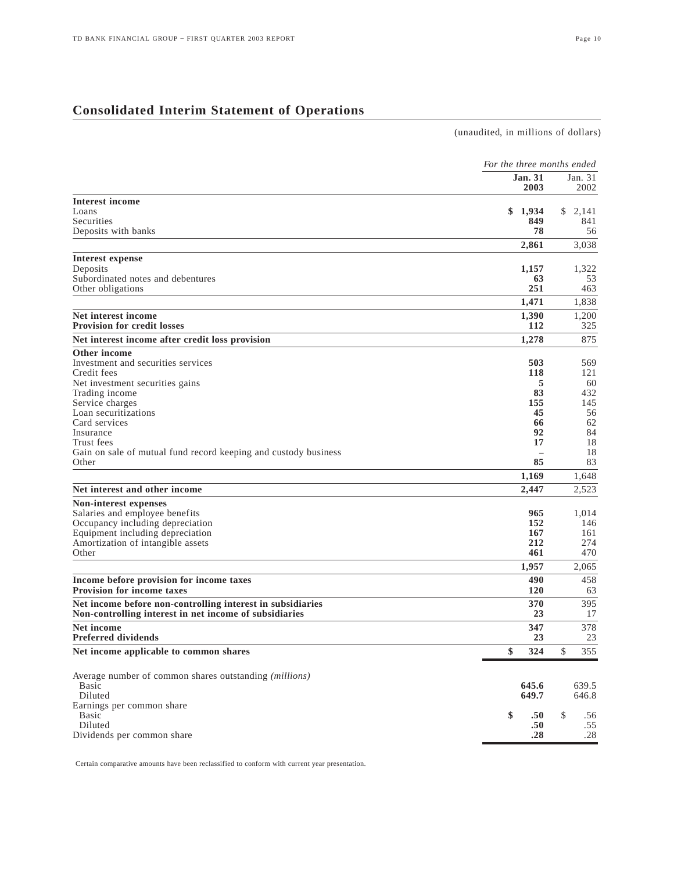(unaudited, in millions of dollars)

|                                                                               | For the three months ended |                 |
|-------------------------------------------------------------------------------|----------------------------|-----------------|
|                                                                               | <b>Jan. 31</b><br>2003     | Jan. 31<br>2002 |
| <b>Interest income</b>                                                        |                            |                 |
| Loans                                                                         | 1,934<br>\$                | 2,141<br>\$     |
| Securities                                                                    | 849                        | 841             |
| Deposits with banks                                                           | 78                         | 56              |
|                                                                               | 2,861                      | 3,038           |
| Interest expense                                                              |                            |                 |
| Deposits                                                                      | 1,157                      | 1,322           |
| Subordinated notes and debentures                                             | 63                         | 53              |
| Other obligations                                                             | 251                        | 463             |
|                                                                               | 1,471                      | 1,838           |
| Net interest income                                                           | 1,390<br>112               | 1,200           |
| <b>Provision for credit losses</b>                                            |                            | 325             |
| Net interest income after credit loss provision                               | 1,278                      | 875             |
| Other income<br>Investment and securities services                            | 503                        | 569             |
| Credit fees                                                                   | 118                        | 121             |
| Net investment securities gains                                               | 5                          | 60              |
| Trading income                                                                | 83                         | 432             |
| Service charges                                                               | 155                        | 145             |
| Loan securitizations                                                          | 45                         | 56              |
| Card services                                                                 | 66                         | 62              |
| Insurance                                                                     | 92                         | 84              |
| Trust fees                                                                    | 17                         | 18              |
| Gain on sale of mutual fund record keeping and custody business               |                            | 18              |
| Other                                                                         | 85                         | 83              |
|                                                                               | 1,169                      | 1,648           |
| Net interest and other income                                                 | 2,447                      | 2,523           |
| Non-interest expenses                                                         |                            |                 |
| Salaries and employee benefits                                                | 965                        | 1,014           |
| Occupancy including depreciation                                              | 152                        | 146             |
| Equipment including depreciation                                              | 167                        | 161             |
| Amortization of intangible assets<br>Other                                    | 212<br>461                 | 274<br>470      |
|                                                                               |                            |                 |
|                                                                               | 1,957                      | 2,065           |
| Income before provision for income taxes<br><b>Provision for income taxes</b> | 490<br><b>120</b>          | 458<br>63       |
| Net income before non-controlling interest in subsidiaries                    | 370                        | 395             |
| Non-controlling interest in net income of subsidiaries                        | 23                         | 17              |
| <b>Net income</b>                                                             | 347                        | 378             |
| <b>Preferred dividends</b>                                                    | 23                         | 23              |
| Net income applicable to common shares                                        | \$<br>324                  | 355<br>\$       |
| Average number of common shares outstanding (millions)                        |                            |                 |
| Basic                                                                         | 645.6                      | 639.5           |
| Diluted                                                                       | 649.7                      | 646.8           |
| Earnings per common share                                                     |                            |                 |
| <b>Basic</b>                                                                  | \$<br>.50                  | \$<br>.56       |
| Diluted                                                                       | .50                        | .55             |
| Dividends per common share                                                    | .28                        | $.28\,$         |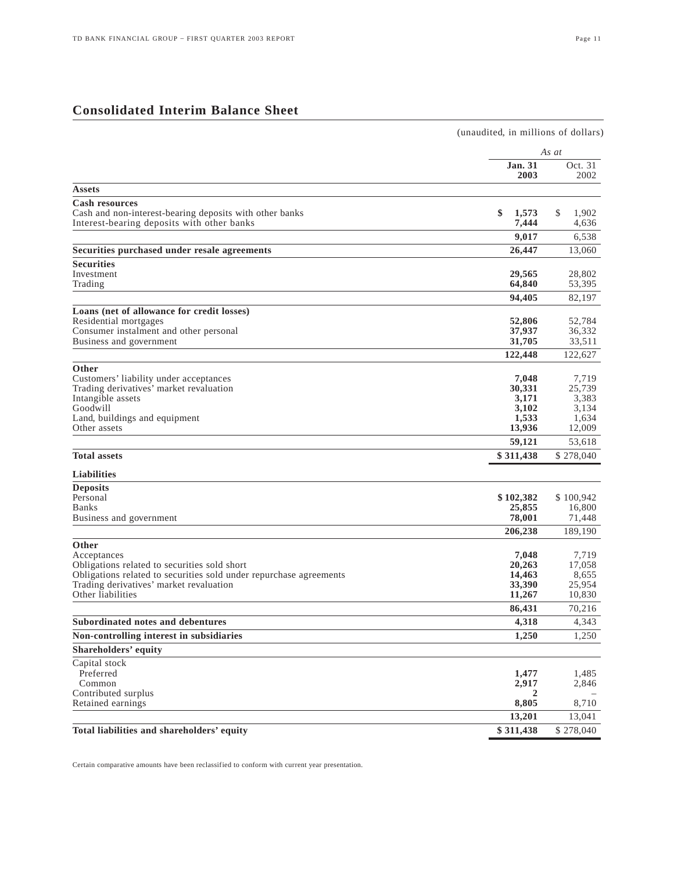## **Consolidated Interim Balance Sheet**

| (unaudited, in millions of dollars)                                                 |                  |
|-------------------------------------------------------------------------------------|------------------|
| As at                                                                               |                  |
| <b>Jan. 31</b><br>2003                                                              | Oct. 31<br>2002  |
| Assets                                                                              |                  |
| <b>Cash resources</b>                                                               |                  |
| \$<br>Cash and non-interest-bearing deposits with other banks<br>1,573              | \$<br>1,902      |
| 7,444<br>Interest-bearing deposits with other banks                                 | 4,636            |
| 9,017                                                                               | 6,538            |
| Securities purchased under resale agreements<br>26,447                              | 13,060           |
| <b>Securities</b>                                                                   |                  |
| Investment<br>29,565                                                                | 28,802           |
| 64,840<br>Trading                                                                   | 53,395           |
| 94,405                                                                              | 82,197           |
| Loans (net of allowance for credit losses)                                          |                  |
| Residential mortgages<br>52,806<br>Consumer instalment and other personal<br>37,937 | 52,784<br>36,332 |
| Business and government<br>31,705                                                   | 33,511           |
| 122,448                                                                             | 122,627          |
|                                                                                     |                  |
| Other<br>Customers' liability under acceptances<br>7,048                            | 7,719            |
| 30,331<br>Trading derivatives' market revaluation                                   | 25,739           |
| Intangible assets<br>3,171                                                          | 3,383            |
| Goodwill<br>3,102                                                                   | 3,134            |
| 1,533<br>Land, buildings and equipment                                              | 1,634            |
| 13,936<br>Other assets                                                              | 12,009           |
| 59,121                                                                              | 53,618           |
| <b>Total assets</b><br>\$311,438                                                    | \$278,040        |
| <b>Liabilities</b>                                                                  |                  |
| <b>Deposits</b>                                                                     |                  |
| Personal<br>\$102,382                                                               | \$100,942        |
| 25,855<br>Banks                                                                     | 16,800           |
| 78,001<br>Business and government                                                   | 71,448           |
| 206,238                                                                             | 189,190          |
| Other                                                                               |                  |
| Acceptances<br>7.048                                                                | 7,719            |
| Obligations related to securities sold short<br>20,263                              | 17,058           |
| Obligations related to securities sold under repurchase agreements<br>14,463        | 8,655            |
| Trading derivatives' market revaluation<br>33,390                                   | 25,954           |
| Other liabilities<br>11,267                                                         | 10,830           |
| 86,431                                                                              | 70,216           |
| 4,318<br>Subordinated notes and debentures                                          | 4,343            |
| Non-controlling interest in subsidiaries<br>1,250                                   | 1,250            |
| <b>Shareholders' equity</b>                                                         |                  |
| Capital stock                                                                       |                  |
| Preferred<br>1,477                                                                  | 1,485            |
| Common<br>2,917<br>Contributed surplus<br>2                                         | 2,846            |
| 8,805<br>Retained earnings                                                          | 8,710            |
| 13,201                                                                              | 13,041           |
| Total liabilities and shareholders' equity<br>\$311,438                             | \$278,040        |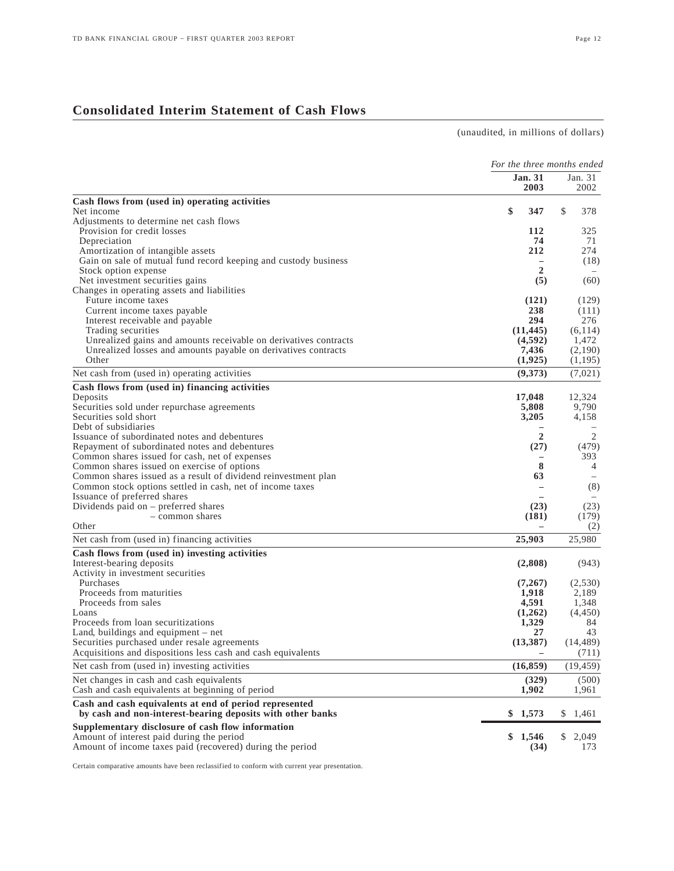## **Consolidated Interim Statement of Cash Flows**

(unaudited, in millions of dollars)

|                                                                  | For the three months ended |                   |  |  |
|------------------------------------------------------------------|----------------------------|-------------------|--|--|
|                                                                  | <b>Jan. 31</b><br>2003     | Jan. $31$<br>2002 |  |  |
| Cash flows from (used in) operating activities                   |                            |                   |  |  |
| Net income                                                       | \$<br>347                  | \$<br>378         |  |  |
| Adjustments to determine net cash flows                          |                            |                   |  |  |
| Provision for credit losses                                      | 112                        | 325               |  |  |
| Depreciation                                                     | 74                         | 71                |  |  |
| Amortization of intangible assets                                | 212                        | 274               |  |  |
| Gain on sale of mutual fund record keeping and custody business  |                            | (18)              |  |  |
| Stock option expense<br>Net investment securities gains          | $\overline{2}$<br>(5)      | (60)              |  |  |
| Changes in operating assets and liabilities                      |                            |                   |  |  |
| Future income taxes                                              | (121)                      | (129)             |  |  |
| Current income taxes payable                                     | 238                        | (111)             |  |  |
| Interest receivable and payable                                  | 294                        | 276               |  |  |
| Trading securities                                               | (11, 445)                  | (6, 114)          |  |  |
| Unrealized gains and amounts receivable on derivatives contracts | (4,592)                    | 1,472             |  |  |
| Unrealized losses and amounts payable on derivatives contracts   | 7,436                      | (2,190)           |  |  |
| Other                                                            | (1,925)                    | (1,195)           |  |  |
| Net cash from (used in) operating activities                     | (9,373)                    | (7,021)           |  |  |
| Cash flows from (used in) financing activities                   |                            |                   |  |  |
| Deposits                                                         | 17,048                     | 12.324            |  |  |
| Securities sold under repurchase agreements                      | 5,808                      | 9,790             |  |  |
| Securities sold short                                            | 3,205                      | 4,158             |  |  |
| Debt of subsidiaries                                             |                            |                   |  |  |
| Issuance of subordinated notes and debentures                    | $\overline{2}$             | 2                 |  |  |
| Repayment of subordinated notes and debentures                   | (27)                       | (479)             |  |  |
| Common shares issued for cash, net of expenses                   |                            | 393               |  |  |
| Common shares issued on exercise of options                      | 8                          | 4                 |  |  |
| Common shares issued as a result of dividend reinvestment plan   | 63                         |                   |  |  |
| Common stock options settled in cash, net of income taxes        | $\overline{\phantom{0}}$   | (8)               |  |  |
| Issuance of preferred shares                                     |                            |                   |  |  |
| Dividends paid on $-$ preferred shares                           | (23)                       | (23)              |  |  |
| - common shares                                                  | (181)                      | (179)             |  |  |
| Other                                                            |                            | (2)               |  |  |
| Net cash from (used in) financing activities                     | 25,903                     | 25,980            |  |  |
| Cash flows from (used in) investing activities                   |                            |                   |  |  |
| Interest-bearing deposits                                        | (2,808)                    | (943)             |  |  |
| Activity in investment securities                                |                            |                   |  |  |
| Purchases                                                        | (7,267)                    | (2,530)           |  |  |
| Proceeds from maturities                                         | 1,918                      | 2,189             |  |  |
| Proceeds from sales<br>Loans                                     | 4,591                      | 1,348             |  |  |
| Proceeds from loan securitizations                               | (1,262)<br>1,329           | (4, 450)<br>84    |  |  |
| Land, buildings and equipment $-$ net                            | 27                         | 43                |  |  |
| Securities purchased under resale agreements                     | (13, 387)                  | (14, 489)         |  |  |
| Acquisitions and dispositions less cash and cash equivalents     |                            | (711)             |  |  |
| Net cash from (used in) investing activities                     | (16, 859)                  | (19, 459)         |  |  |
| Net changes in cash and cash equivalents                         | (329)                      | (500)             |  |  |
| Cash and cash equivalents at beginning of period                 | 1,902                      | 1,961             |  |  |
| Cash and cash equivalents at end of period represented           |                            |                   |  |  |
| by cash and non-interest-bearing deposits with other banks       | \$1,573                    | S.<br>1,461       |  |  |
| Supplementary disclosure of cash flow information                |                            |                   |  |  |
| Amount of interest paid during the period                        | \$1,546                    | \$2,049           |  |  |
| Amount of income taxes paid (recovered) during the period        | (34)                       | 173               |  |  |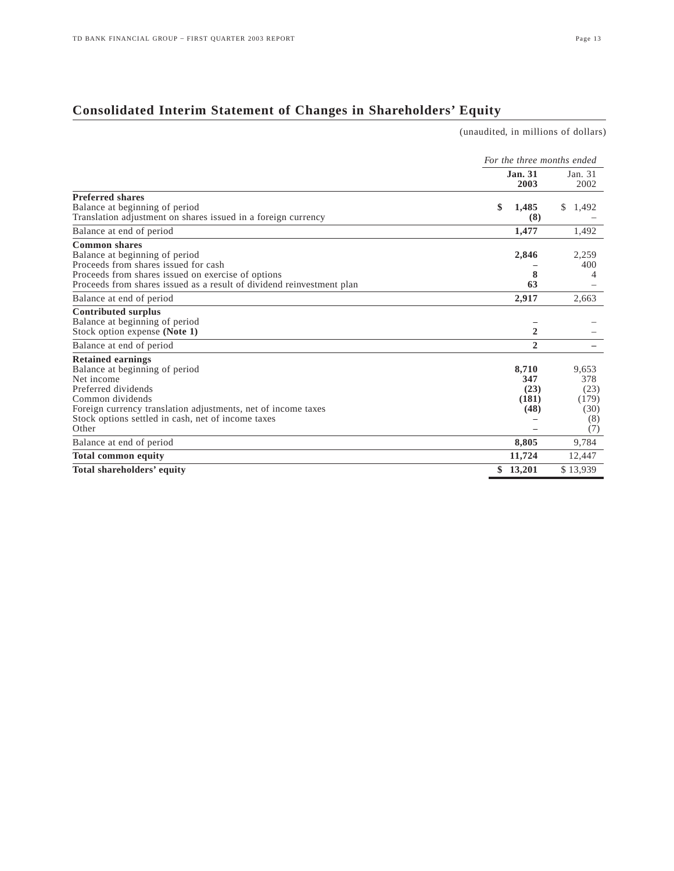(unaudited, in millions of dollars)

## **Consolidated Interim Statement of Changes in Shareholders' Equity**

*For the three months ended* **Jan. 31 Jan. 31 2003 Dec 2003** 2002 **Preferred shares** Balance at beginning of period<br>
Translation adjustment on shares issued in a foreign currency **8 1,485 \$** 1,492 **8 1.492** Translation adjustment on shares issued in a foreign currency **(8)** – Balance at end of period **1,477** 1,492 **Common shares**  Balance at beginning of period **2,846** 2,259<br>Proceeds from shares issued for cash 200 Proceeds from shares issued for cash **–**  $\overline{a}$  – **4000** Proceeds from shares issued on exercise of options **400** Proceeds from shares issued on exercise of options **8** 4<br>Proceeds from shares issued as a result of dividend reinvestment plan **63** 63 Proceeds from shares issued as a result of dividend reinvestment plan **63** – Balance at end of period **2,917** 2,663 **Contributed surplus** Balance at beginning of period  $\overline{ }$ <br>Stock option expense (Note 1)  $\overline{ }$ Stock option expense **(Note 1) 2** – Balance at end of period **2** – **Retained earnings** Balance at beginning of period **8,710** 9,653<br>Net income **8,710** 9,653<br>378 9,853 Net income **347** 378 Preferred dividends **(23)** (23) Common dividends (181) (179)<br>Foreign currency translation adjustments, net of income taxes (48) (30) (30) Foreign currency translation adjustments, net of income taxes (48) (30)<br>Stock options settled in cash, net of income taxes (8) Stock options settled in cash, net of income taxes  $\overline{P}$  (8)<br>Other **–** (7) Other **–** (7) Balance at end of period **8,805** 9,784 **Total common equity 11,724** 12,447 **Total shareholders' equity \$ 13,201** \$ 13,939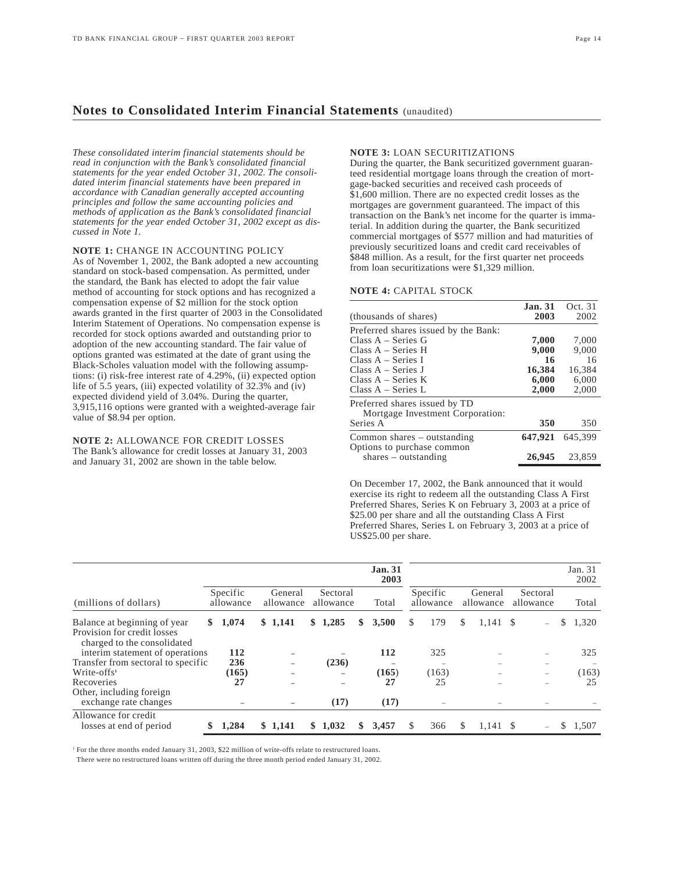## **Notes to Consolidated Interim Financial Statements** (unaudited)

*These consolidated interim financial statements should be read in conjunction with the Bank's consolidated financial statements for the year ended October 31, 2002. The consolidated interim financial statements have been prepared in accordance with Canadian generally accepted accounting principles and follow the same accounting policies and methods of application as the Bank's consolidated financial statements for the year ended October 31, 2002 except as discussed in Note 1.* 

**NOTE 1:** CHANGE IN ACCOUNTING POLICY

As of November 1, 2002, the Bank adopted a new accounting standard on stock-based compensation. As permitted, under the standard, the Bank has elected to adopt the fair value method of accounting for stock options and has recognized a compensation expense of \$2 million for the stock option awards granted in the first quarter of 2003 in the Consolidated Interim Statement of Operations. No compensation expense is recorded for stock options awarded and outstanding prior to adoption of the new accounting standard. The fair value of options granted was estimated at the date of grant using the Black-Scholes valuation model with the following assumptions: (i) risk-free interest rate of 4.29%, (ii) expected option life of 5.5 years, (iii) expected volatility of 32.3% and (iv) expected dividend yield of 3.04%. During the quarter, 3,915,116 options were granted with a weighted-average fair value of \$8.94 per option.

**NOTE 2:** ALLOWANCE FOR CREDIT LOSSES The Bank's allowance for credit losses at January 31, 2003 and January 31, 2002 are shown in the table below.

## **NOTE 3:** LOAN SECURITIZATIONS

During the quarter, the Bank securitized government guaranteed residential mortgage loans through the creation of mortgage-backed securities and received cash proceeds of \$1,600 million. There are no expected credit losses as the mortgages are government guaranteed. The impact of this transaction on the Bank's net income for the quarter is immaterial. In addition during the quarter, the Bank securitized commercial mortgages of \$577 million and had maturities of previously securitized loans and credit card receivables of \$848 million. As a result, for the first quarter net proceeds from loan securitizations were \$1,329 million.

## **NOTE 4:** CAPITAL STOCK

| <b>Jan. 31</b> | Oct. 31 |
|----------------|---------|
| 2003           | 2002    |
|                |         |
| 7,000          | 7,000   |
| 9,000          | 9.000   |
| -16            | 16      |
| 16,384         | 16,384  |
| 6,000          | 6.000   |
| 2,000          | 2,000   |
|                |         |
|                |         |
| 350            | 350     |
| 647,921        | 645.399 |
|                |         |
| 26,945         | 23,859  |
|                |         |

On December 17, 2002, the Bank announced that it would exercise its right to redeem all the outstanding Class A First Preferred Shares, Series K on February 3, 2003 at a price of \$25.00 per share and all the outstanding Class A First Preferred Shares, Series L on February 3, 2003 at a price of US\$25.00 per share.

|                                                                                            |    |                       |                      |                          |                       |                          |     | <b>Jan. 31</b><br>2003 |    |                       |                      |            |                                  |    | Jan. 31<br>2002 |
|--------------------------------------------------------------------------------------------|----|-----------------------|----------------------|--------------------------|-----------------------|--------------------------|-----|------------------------|----|-----------------------|----------------------|------------|----------------------------------|----|-----------------|
| (millions of dollars)                                                                      |    | Specific<br>allowance | General<br>allowance |                          | Sectoral<br>allowance |                          |     | Total                  |    | Specific<br>allowance | General<br>allowance |            | Sectoral<br>allowance            |    | Total           |
| Balance at beginning of year<br>Provision for credit losses<br>charged to the consolidated | S. | 1,074                 |                      | \$1,141                  | SS.                   | 1,285                    | S.  | 3,500                  | S  | 179                   | \$.                  | 1,141      | - \$<br>$\overline{\phantom{0}}$ | S  | 1,320           |
| interim statement of operations<br>Transfer from sectoral to specific                      |    | 112<br>236            |                      | $\overline{\phantom{0}}$ |                       | (236)                    |     | 112                    |    | 325                   |                      |            | $\overline{\phantom{0}}$         |    | 325             |
| $Write-offs1$<br>Recoveries<br>Other, including foreign                                    |    | (165)<br>27           |                      |                          |                       | $\overline{\phantom{0}}$ |     | (165)<br>27            |    | (163)<br>25           |                      |            | $\overline{\phantom{0}}$         |    | (163)<br>25     |
| exchange rate changes<br>Allowance for credit<br>losses at end of period                   |    | 1,284                 |                      | \$1,141                  |                       | (17)<br>\$1,032          | SS. | (17)<br>3,457          | S. | 366                   | S                    | $1,141$ \$ |                                  | S. | 1,507           |

<sup>1</sup> For the three months ended January 31, 2003, \$22 million of write-offs relate to restructured loans.

There were no restructured loans written off during the three month period ended January 31, 2002.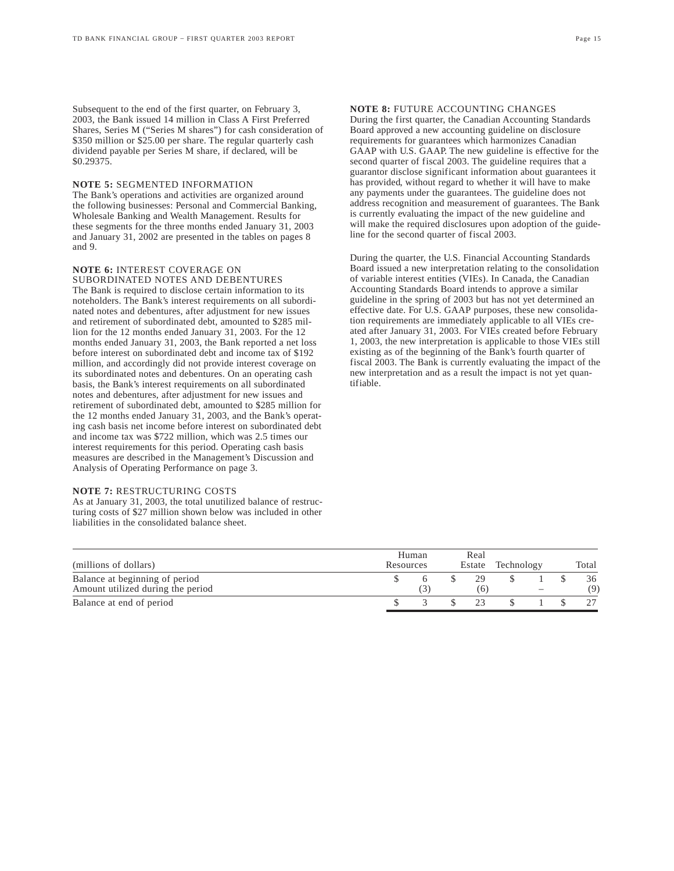Subsequent to the end of the first quarter, on February 3, 2003, the Bank issued 14 million in Class A First Preferred Shares, Series M ("Series M shares") for cash consideration of \$350 million or \$25.00 per share. The regular quarterly cash dividend payable per Series M share, if declared, will be \$0.29375.

## **NOTE 5:** SEGMENTED INFORMATION

The Bank's operations and activities are organized around the following businesses: Personal and Commercial Banking, Wholesale Banking and Wealth Management. Results for these segments for the three months ended January 31, 2003 and January 31, 2002 are presented in the tables on pages 8 and 9.

#### **NOTE 6:** INTEREST COVERAGE ON SUBORDINATED NOTES AND DEBENTURES

The Bank is required to disclose certain information to its noteholders. The Bank's interest requirements on all subordinated notes and debentures, after adjustment for new issues and retirement of subordinated debt, amounted to \$285 million for the 12 months ended January 31, 2003. For the 12 months ended January 31, 2003, the Bank reported a net loss before interest on subordinated debt and income tax of \$192 million, and accordingly did not provide interest coverage on its subordinated notes and debentures. On an operating cash basis, the Bank's interest requirements on all subordinated notes and debentures, after adjustment for new issues and retirement of subordinated debt, amounted to \$285 million for the 12 months ended January 31, 2003, and the Bank's operating cash basis net income before interest on subordinated debt and income tax was \$722 million, which was 2.5 times our interest requirements for this period. Operating cash basis measures are described in the Management's Discussion and Analysis of Operating Performance on page 3.

## **NOTE 7:** RESTRUCTURING COSTS

As at January 31, 2003, the total unutilized balance of restructuring costs of \$27 million shown below was included in other liabilities in the consolidated balance sheet.

## **NOTE 8:** FUTURE ACCOUNTING CHANGES

During the first quarter, the Canadian Accounting Standards Board approved a new accounting guideline on disclosure requirements for guarantees which harmonizes Canadian GAAP with U.S. GAAP. The new guideline is effective for the second quarter of fiscal 2003. The guideline requires that a guarantor disclose significant information about guarantees it has provided, without regard to whether it will have to make any payments under the guarantees. The guideline does not address recognition and measurement of guarantees. The Bank is currently evaluating the impact of the new guideline and will make the required disclosures upon adoption of the guideline for the second quarter of fiscal 2003.

During the quarter, the U.S. Financial Accounting Standards Board issued a new interpretation relating to the consolidation of variable interest entities (VIEs). In Canada, the Canadian Accounting Standards Board intends to approve a similar guideline in the spring of 2003 but has not yet determined an effective date. For U.S. GAAP purposes, these new consolidation requirements are immediately applicable to all VIEs created after January 31, 2003. For VIEs created before February 1, 2003, the new interpretation is applicable to those VIEs still existing as of the beginning of the Bank's fourth quarter of fiscal 2003. The Bank is currently evaluating the impact of the new interpretation and as a result the impact is not yet quantifiable.

| (millions of dollars)             | Human<br>Resources | Real<br>Estate | Technology |                          | Total |
|-----------------------------------|--------------------|----------------|------------|--------------------------|-------|
| Balance at beginning of period    |                    | 29             |            |                          | 36    |
| Amount utilized during the period |                    | (6)            |            | $\overline{\phantom{a}}$ | (9)   |
| Balance at end of period          |                    | 23             |            |                          |       |